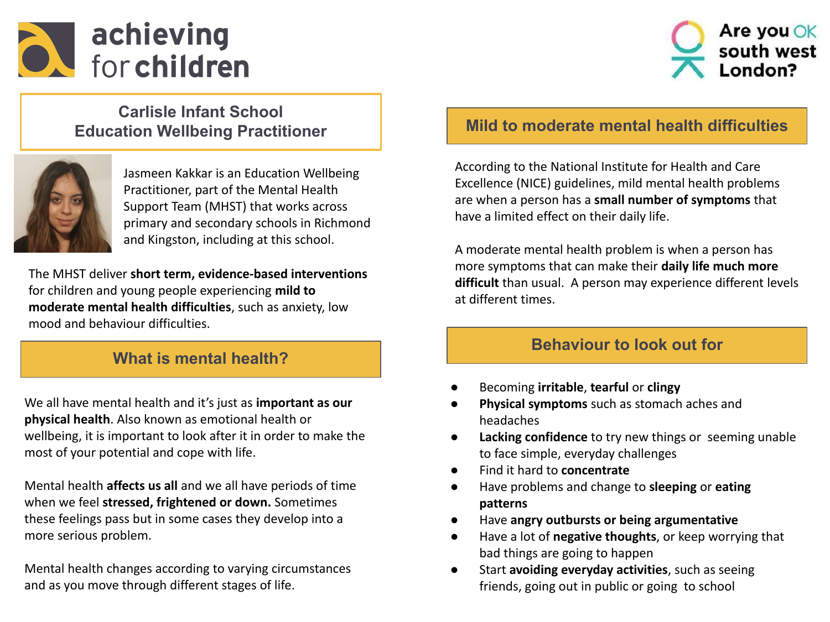



## **Carlisle Infant School Education Wellbeing Practitioner**



Jasmeen Kakkar is an Education Wellbeing Practitioner, part of the Mental Health Support Team (MHST) that works across primary and secondary schools in Richmond and Kingston, including at this school.

The MHST deliver **short term, evidence-based interventions** for children and young people experiencing **mild to moderate mental health difficulties**, such as anxiety, low mood and behaviour difficulties.

# **What is mental health?**

We all have mental health and it's just as **important as our physical health**. Also known as emotional health or wellbeing, it is important to look after it in order to make the most of your potential and cope with life.

Mental health **affects us all** and we all have periods of time when we feel **stressed, frightened or down.** Sometimes these feelings pass but in some cases they develop into a more serious problem.

Mental health changes according to varying circumstances and as you move through different stages of life.

# **Mild to moderate mental health difficulties**

According to the National Institute for Health and Care Excellence (NICE) guidelines, mild mental health problems are when a person has a **small number of symptoms** that have a limited effect on their daily life.

A moderate mental health problem is when a person has more symptoms that can make their **daily life much more difficult** than usual. A person may experience different levels at different times.

# **Behaviour to look out for**

- Becoming **irritable**, **tearful** or **clingy**
- **Physical symptoms** such as stomach aches and headaches
- **Lacking confidence** to try new things or seeming unable to face simple, everyday challenges
- Find it hard to **concentrate**
- Have problems and change to **sleeping** or **eating patterns**
- Have **angry outbursts or being argumentative**
- Have a lot of **negative thoughts**, or keep worrying that bad things are going to happen
- Start **avoiding everyday activities**, such as seeing friends, going out in public or going to school